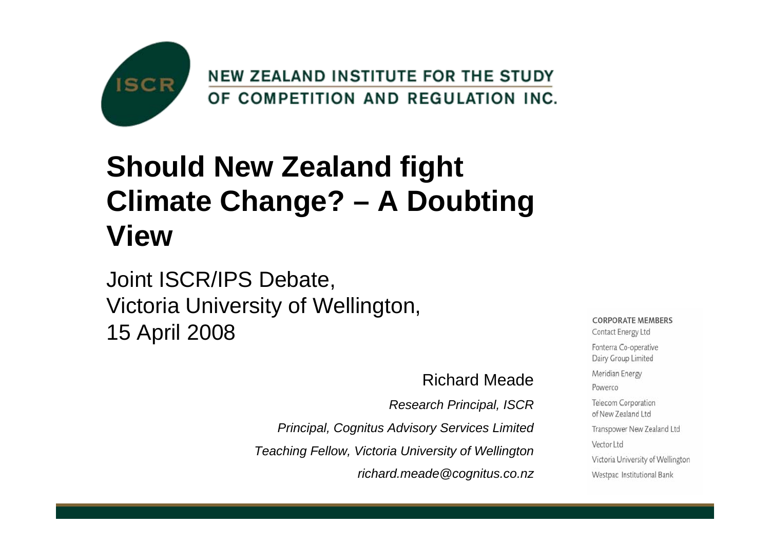

## **Should New Zealand fight Climate Change? – A Doubting View**

#### Joint ISCR/IPS Debate, Victoria University of Wellington, 15 April 2008

#### Richard Meade

*Research Principal, ISCR*

*Principal, Cognitus Advisory Services Limited*

*Teaching Fellow, Victoria University of Wellington*

*richard.meade@cognitus.co.nz*

**CORPORATE MEMBERS** Contact Energy Ltd Fonterra Co-operative Dairy Group Limited Meridian Energy Powerco Telecom Corporation of New Zealand Ltd Transpower New Zealand Ltd Vector Ltd Victoria University of Wellington Westpac Institutional Bank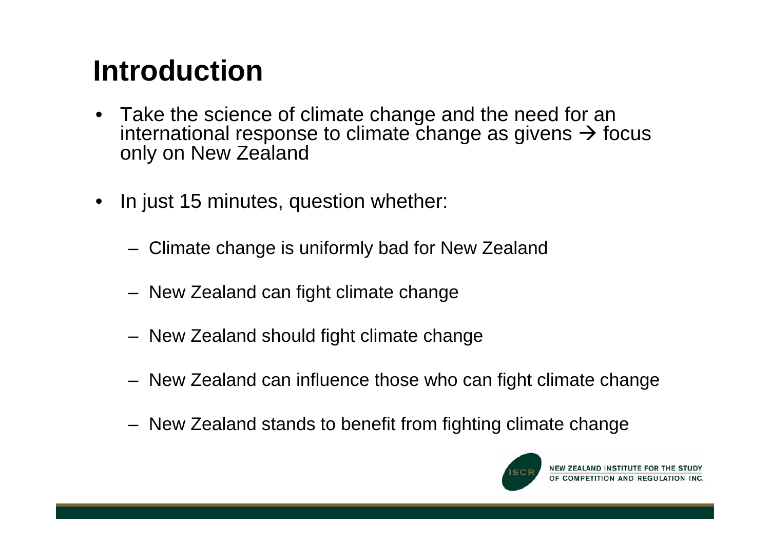# **Introduction**

- Take the science of climate change and the need for an international response to climate change as givens  $\rightarrow$  focus only on New Zealand
- $\bullet$  In just 15 minutes, question whether:
	- Climate change is uniformly bad for New Zealand
	- New Zealand can fight climate change
	- New Zealand should fight climate change
	- New Zealand can influence those who can fight climate change
	- New Zealand stands to benefit from fighting climate change

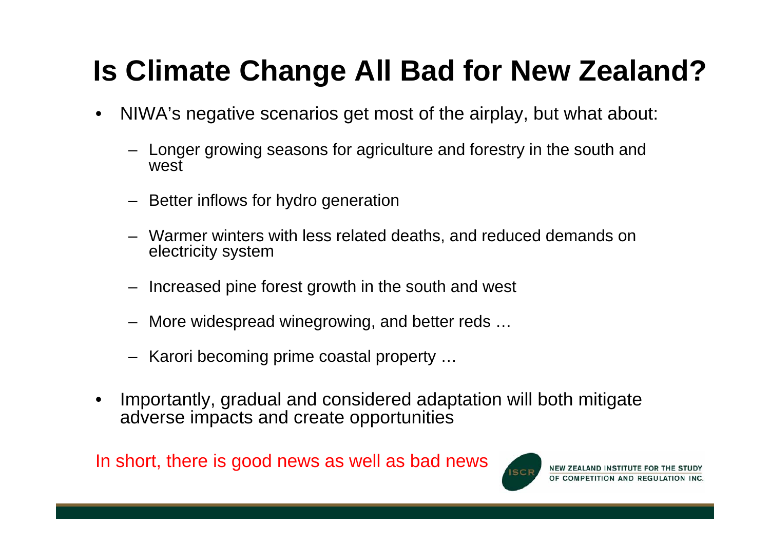# **Is Climate Change All Bad for New Zealand?**

- • NIWA's negative scenarios get most of the airplay, but what about:
	- – Longer growing seasons for agriculture and forestry in the south and west
	- Better inflows for hydro generation
	- Warmer winters with less related deaths, and reduced demands on electricity system
	- Increased pine forest growth in the south and west
	- More widespread winegrowing, and better reds …
	- Karori becoming prime coastal property …
- • Importantly, gradual and considered adaptation will both mitigate adverse impacts and create opportunities

In short, there is good news as well as bad news

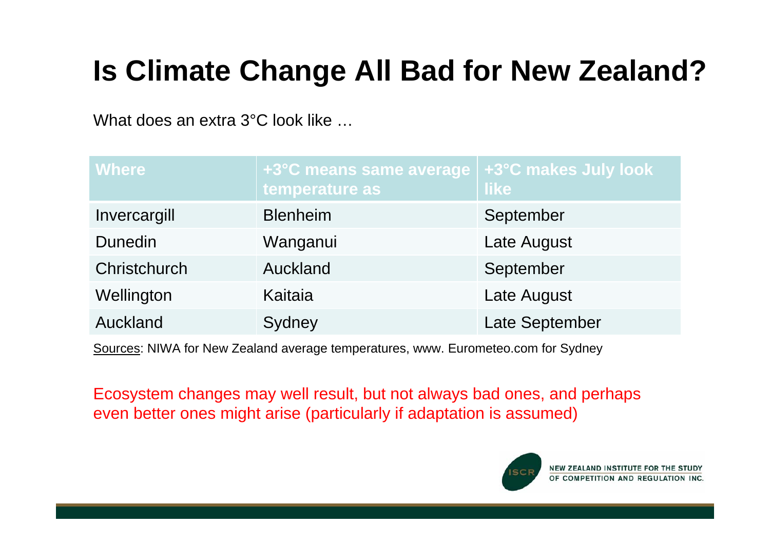# **Is Climate Change All Bad for New Zealand?**

What does an extra 3°C look like

| <b>Where</b>   | +3°C means same average   +3°C makes July look<br>temperature as | <b>like</b>    |
|----------------|------------------------------------------------------------------|----------------|
| Invercargill   | <b>Blenheim</b>                                                  | September      |
| <b>Dunedin</b> | Wanganui                                                         | Late August    |
| Christchurch   | Auckland                                                         | September      |
| Wellington     | Kaitaia                                                          | Late August    |
| Auckland       | Sydney                                                           | Late September |

Sources: NIWA for New Zealand average temperatures, www. Eurometeo.com for Sydney

Ecosystem changes may well result, but not always bad ones, and perhaps even better ones might arise (particularly if adaptation is assumed)

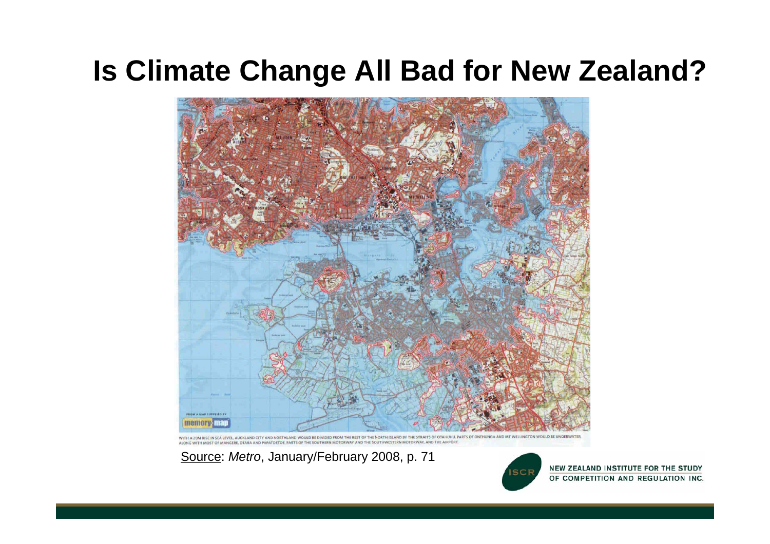### **Is Climate Change All Bad for New Zealand?**



CITY AND NORTHLAND WOULD BE DIVIDED FROM THE REST OF THE NORTH ISLAND BY THE STRAITS OF OTAHUHU, PARTS OF ONEHUNGA AND MT WELLINGTON WOULD BE UNDERWATER MANGERE, OTARA AND PAPATOETOE, PARTS OF THE SOUTHERN MOTORWAY AND THE SOUTHWESTERN MOTORWAY, AND THE AIRPORT

Source: *Metro*, January/February 2008, p. 71



NEW ZEALAND INSTITUTE FOR THE STUDY OF COMPETITION AND REGULATION INC.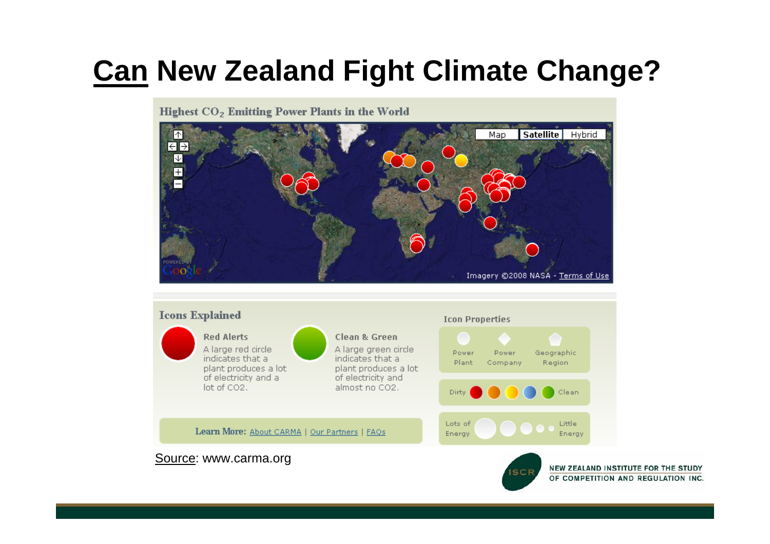# **Can New Zealand Fight Climate Change?**

Highest CO<sub>2</sub> Emitting Power Plants in the World



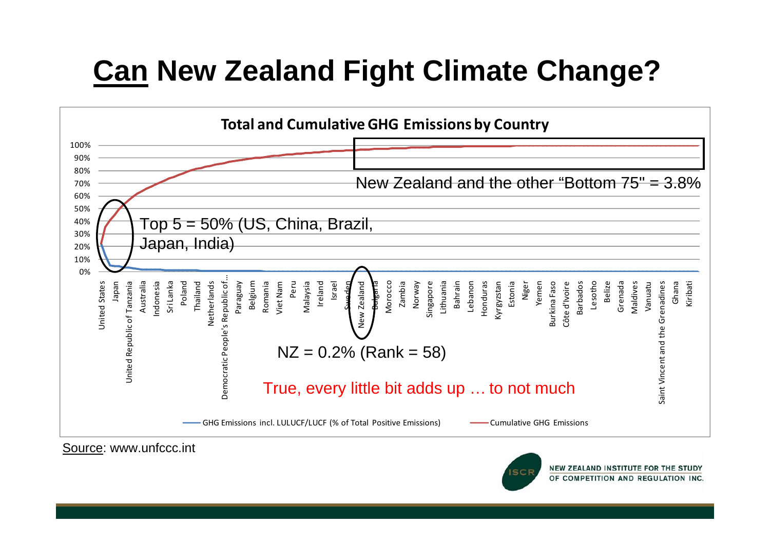# **Can New Zealand Fight Climate Change?**



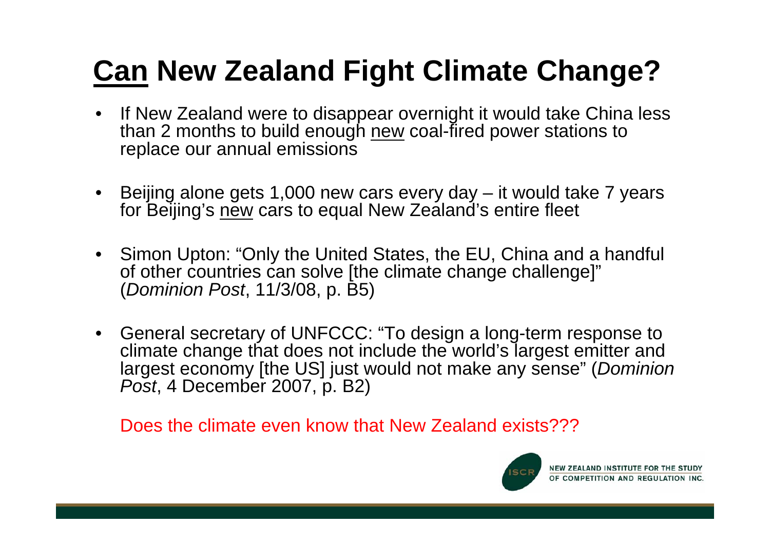# **Can New Zealand Fight Climate Change?**

- $\bullet$  If New Zealand were to disappear overnight it would take China less than 2 months to build enough new coal-fired power stations to replace our annual emissions
- Beijing alone gets 1,000 new cars every day it would take 7 years for Beijing's new cars to equal New Zealand's entire fleet
- Simon Upton: "Only the United States, the EU, China and a handful of other countries can solve [the climate change challenge]" (*Dominion Post*, 11/3/08, p. B5)
- General secretary of UNFCCC: "To design a long-term response to climate change that does not include the world's largest emitter and largest economy [the US] just would not make any sense" (*Dominion Post*, 4 December 2007, p. B2)

Does the climate even know that New Zealand exists???

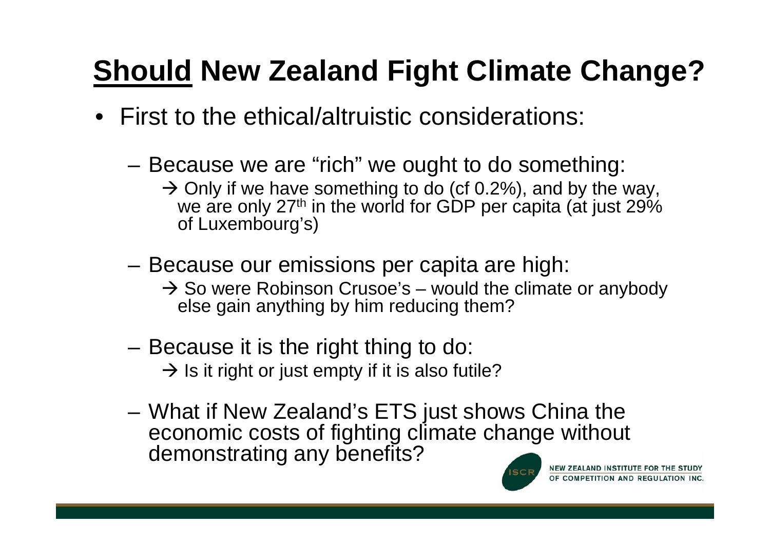- First to the ethical/altruistic considerations:
	- **Links of the Company**  Because we are "rich" we ought to do something:
		- $\rightarrow$  Only if we have something to do (cf 0.2%), and by the way, we are only 27<sup>th</sup> in the world for GDP per capita (at just 29% of Luxembourg's)
	- and the state of the Because our emissions per capita are high:
		- $\rightarrow$  So were Robinson Crusoe's would the climate or anybody else gain anything by him reducing them?
	- and the state of the Because it is the right thing to do:  $\rightarrow$  Is it right or just empty if it is also futile?
	- and the state of the What if New Zealand's ETS just shows China the economic costs of fighting climate change without demonstrating any benefits?

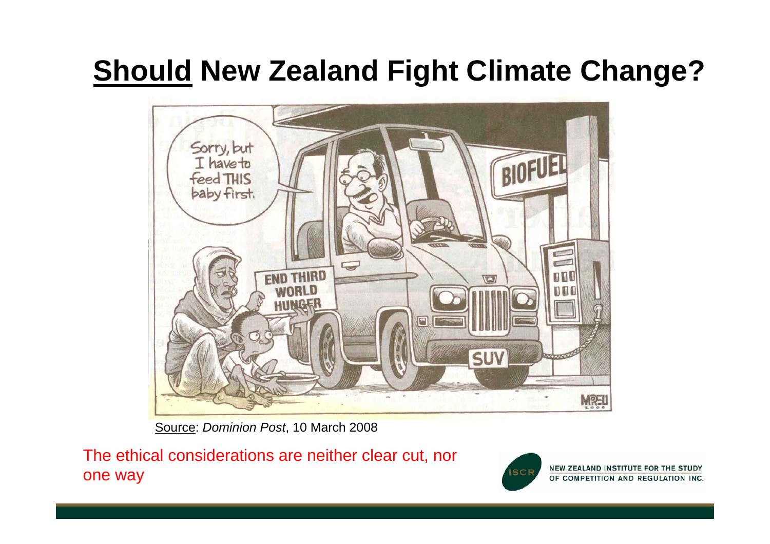

Source: *Dominion Post*, 10 March 2008

The ethical considerations are neither clear cut, nor one way



NEW ZEALAND INSTITUTE FOR THE STUDY OF COMPETITION AND REGULATION INC.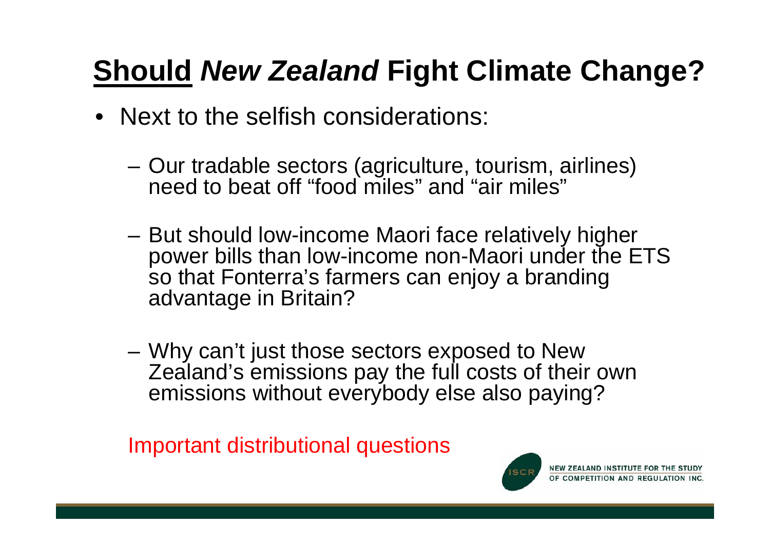- Next to the selfish considerations:
	- and the state of the Our tradable sectors (agriculture, tourism, airlines) need to beat off "food miles" and "air miles"
	- and the state of the But should low-income Maori face relatively higher power bills than low-income non-Maori under the ETS so that Fonterra's farmers can enjoy a branding advantage in Britain?
	- **Links of the Company**  Why can't just those sectors exposed to New Zealand's emissions pay the full costs of their own emissions without everybody else also paying?

Important distributional questions

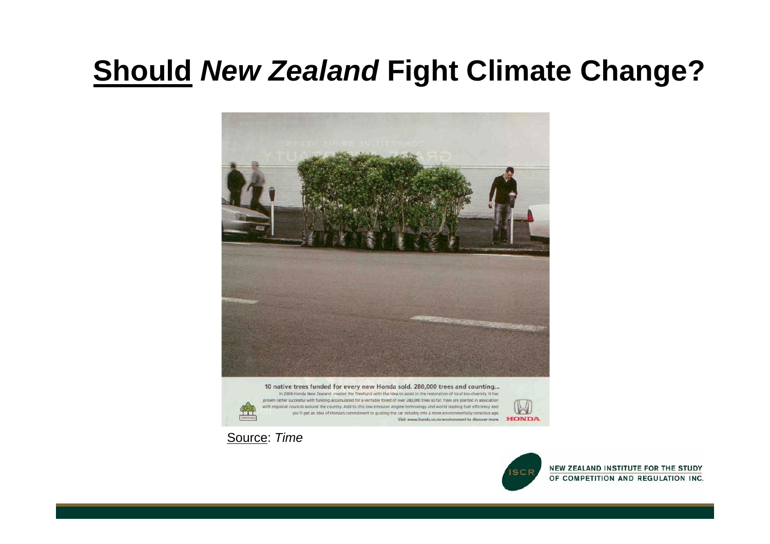





NEW ZEALAND INSTITUTE FOR THE STUDY OF COMPETITION AND REGULATION INC.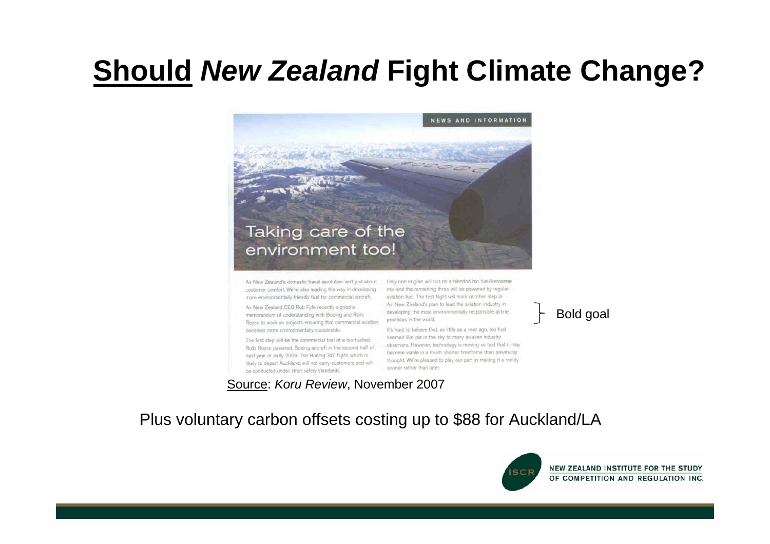

Air New Zealand's domestic travel revolution isn't just about customer comfort. We're also leading the way in developing more environmentally friendly fuel for commercial aircraft.

Air New Zealand CEO Rob Fyfe recently signed a memorandum of understanding with Boeing and Rolls Royce to work on projects ensuring that commercial aviation becomes more environmentally sustainable.

The first step will be the commercial trial of a bio-fuelled, Rolls Royce powered, Boeing aircraft in the second half of next year or early 2009. The Boeing 747 flight, which is likely to depart Auckland, will not carry customers and will be conducted under strict safety standards.

Only one engine will run on a blended bio fuel/kerosene mix and the remaining three will be powered by regular aviation fuel. The test flight will mark another step in Air New Zealand's plan to lead the aviation industry in developing the most environmentally responsible airline practices in the world.

It's hard to believe that, as little as a year ago, bio fuel seemed like pie in the sky to many aviation industry observers. However, technology is moving so fast that it may become viable in a much shorter timeframe than previously thought. We're pleased to play our part in making it a reality. sooner rather than later.

Source: *Koru Review*, November 2007

Bold goal

#### Plus voluntary carbon offsets costing up to \$88 for Auckland/LA

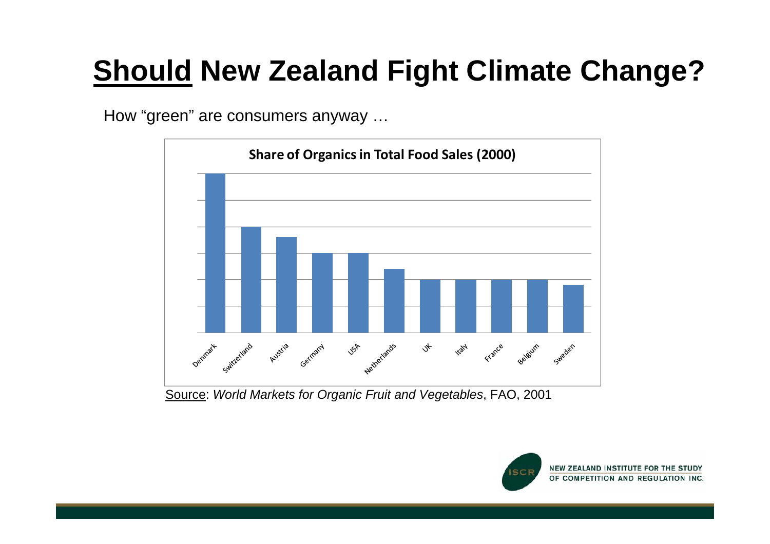How "green" are consumers anyway …



Source: *World Markets for Organic Fruit and Vegetables*, FAO, 2001

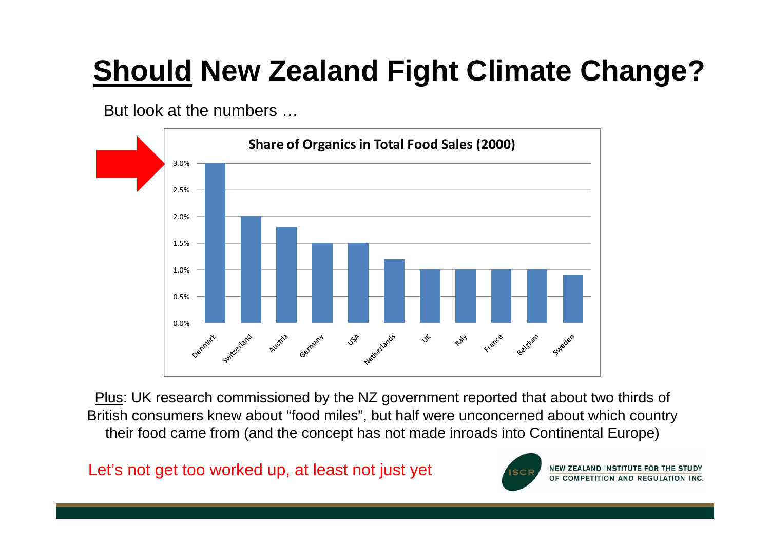But look at the numbers …



Plus: UK research commissioned by the NZ government reported that about two thirds of British consumers knew about "food miles", but half were unconcerned about which country their food came from (and the concept has not made inroads into Continental Europe)

Let's not get too worked up, at least not just yet

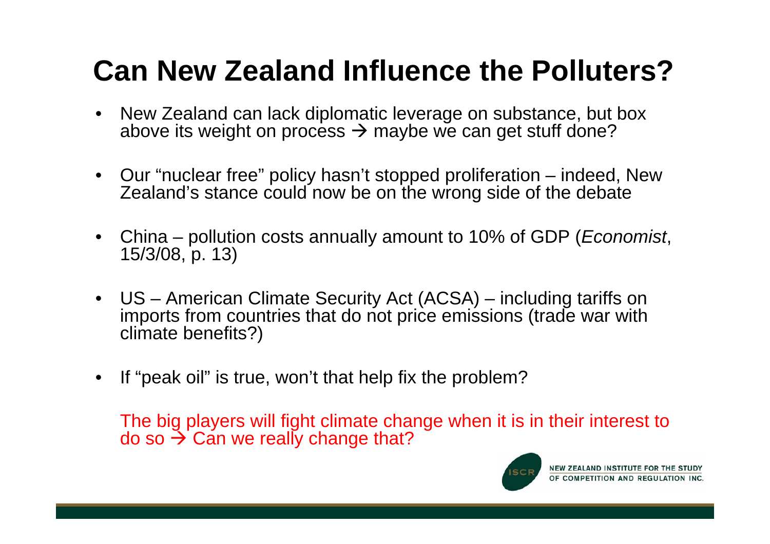# **Can New Zealand Influence the Polluters?**

- • New Zealand can lack diplomatic leverage on substance, but box above its weight on process  $\rightarrow$  maybe we can get stuff done?
- Our "nuclear free" policy hasn't stopped proliferation indeed, New Zealand's stance could now be on the wrong side of the debate
- • China – pollution costs annually amount to 10% of GDP (*Economist*, 15/3/08, p. 13)
- US American Climate Security Act (ACSA) including tariffs on imports from countries that do not price emissions (trade war with climate benefits?)
- •If "peak oil" is true, won't that help fix the problem?

The big players will fight climate change when it is in their interest to do so  $\bm{\rightarrow}$  Can we really change that?

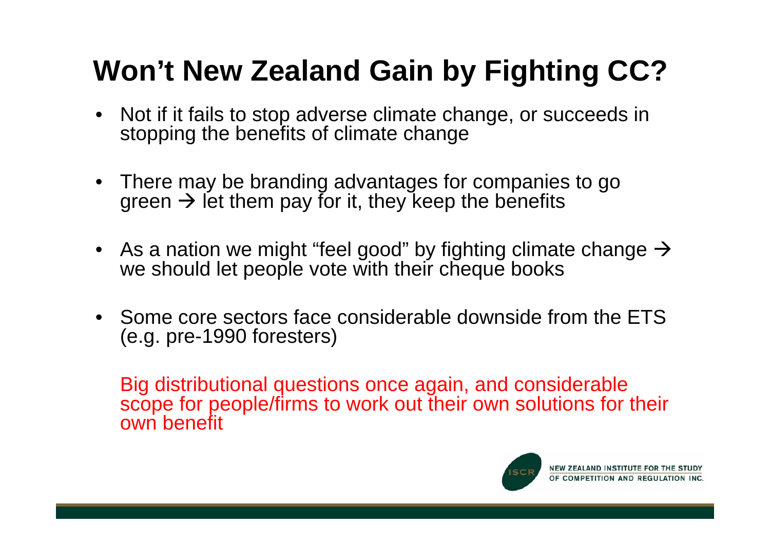# **Won't New Zealand Gain by Fighting CC?**

- Not if it fails to stop adverse climate change, or succeeds in stopping the benefits of climate change
- There may be branding advantages for companies to go green  $\bm{\rightarrow}$  let them pay for it, they keep the benefits
- $\bullet~$  As a nation we might "feel good" by fighting climate change  $\rightarrow$ we should let people vote with their cheque books
- Some core sectors face considerable downside from the ETS (e.g. pre-1990 foresters)

Big distributional questions once again, and considerable scope for people/firms to work out their own solutions for their own benefit